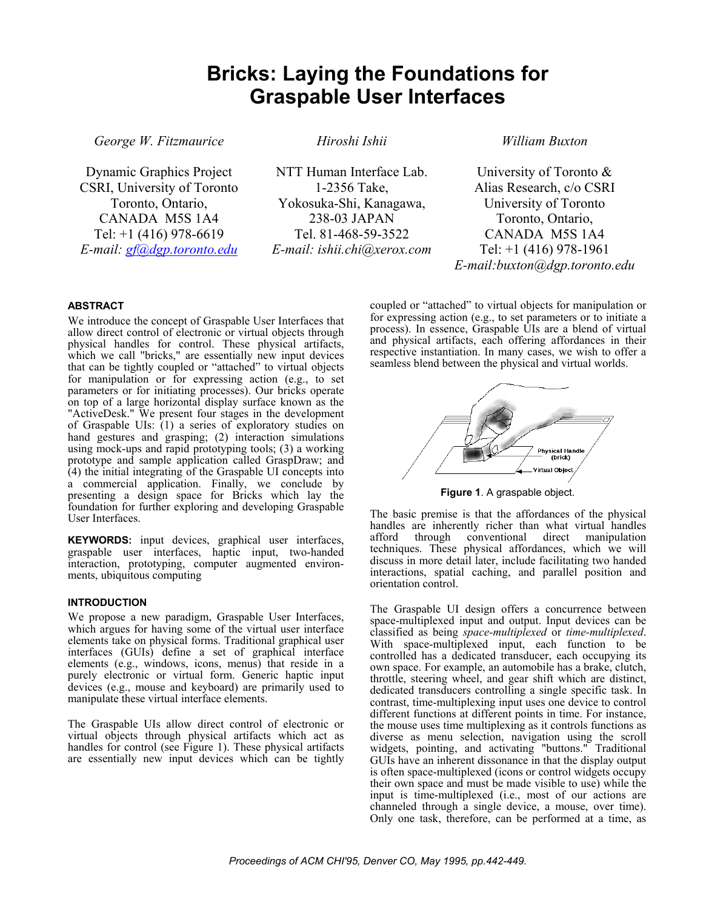# **Bricks: Laying the Foundations for Graspable User Interfaces**

*George W. Fitzmaurice* 

Dynamic Graphics Project CSRI, University of Toronto Toronto, Ontario, CANADA M5S 1A4 Tel: +1 (416) 978-6619 *E-mail: gf@dgp.toronto.edu*

## *Hiroshi Ishii*

NTT Human Interface Lab. 1-2356 Take, Yokosuka-Shi, Kanagawa, 238-03 JAPAN Tel. 81-468-59-3522 *E-mail: ishii.chi@xerox.com*  *William Buxton*

University of Toronto & Alias Research, c/o CSRI University of Toronto Toronto, Ontario, CANADA M5S 1A4 Tel: +1 (416) 978-1961 *E-mail:buxton@dgp.toronto.edu* 

coupled or "attached" to virtual objects for manipulation or for expressing action (e.g., to set parameters or to initiate a process). In essence, Graspable UIs are a blend of virtual and physical artifacts, each offering affordances in their respective instantiation. In many cases, we wish to offer a seamless blend between the physical and virtual worlds.



**Figure 1**. A graspable object.

The basic premise is that the affordances of the physical handles are inherently richer than what virtual handles afford through conventional direct manipulation afford through conventional direct techniques. These physical affordances, which we will discuss in more detail later, include facilitating two handed interactions, spatial caching, and parallel position and orientation control.

The Graspable UI design offers a concurrence between space-multiplexed input and output. Input devices can be classified as being *space-multiplexed* or *time-multiplexed*. With space-multiplexed input, each function to be controlled has a dedicated transducer, each occupying its own space. For example, an automobile has a brake, clutch, throttle, steering wheel, and gear shift which are distinct, dedicated transducers controlling a single specific task. In contrast, time-multiplexing input uses one device to control different functions at different points in time. For instance, the mouse uses time multiplexing as it controls functions as diverse as menu selection, navigation using the scroll widgets, pointing, and activating "buttons." Traditional GUIs have an inherent dissonance in that the display output is often space-multiplexed (icons or control widgets occupy their own space and must be made visible to use) while the input is time-multiplexed (i.e., most of our actions are channeled through a single device, a mouse, over time). Only one task, therefore, can be performed at a time, as

## **ABSTRACT**

We introduce the concept of Graspable User Interfaces that allow direct control of electronic or virtual objects through physical handles for control. These physical artifacts, which we call "bricks," are essentially new input devices that can be tightly coupled or "attached" to virtual objects for manipulation or for expressing action (e.g., to set parameters or for initiating processes). Our bricks operate on top of a large horizontal display surface known as the "ActiveDesk." We present four stages in the development of Graspable UIs: (1) a series of exploratory studies on hand gestures and grasping; (2) interaction simulations using mock-ups and rapid prototyping tools; (3) a working prototype and sample application called GraspDraw; and (4) the initial integrating of the Graspable UI concepts into a commercial application. Finally, we conclude by presenting a design space for Bricks which lay the foundation for further exploring and developing Graspable User Interfaces.

**KEYWORDS:** input devices, graphical user interfaces, graspable user interfaces, haptic input, two-handed interaction, prototyping, computer augmented environments, ubiquitous computing

## **INTRODUCTION**

We propose a new paradigm, Graspable User Interfaces, which argues for having some of the virtual user interface elements take on physical forms. Traditional graphical user interfaces (GUIs) define a set of graphical interface elements (e.g., windows, icons, menus) that reside in a purely electronic or virtual form. Generic haptic input devices (e.g., mouse and keyboard) are primarily used to manipulate these virtual interface elements.

The Graspable UIs allow direct control of electronic or virtual objects through physical artifacts which act as handles for control (see Figure 1). These physical artifacts are essentially new input devices which can be tightly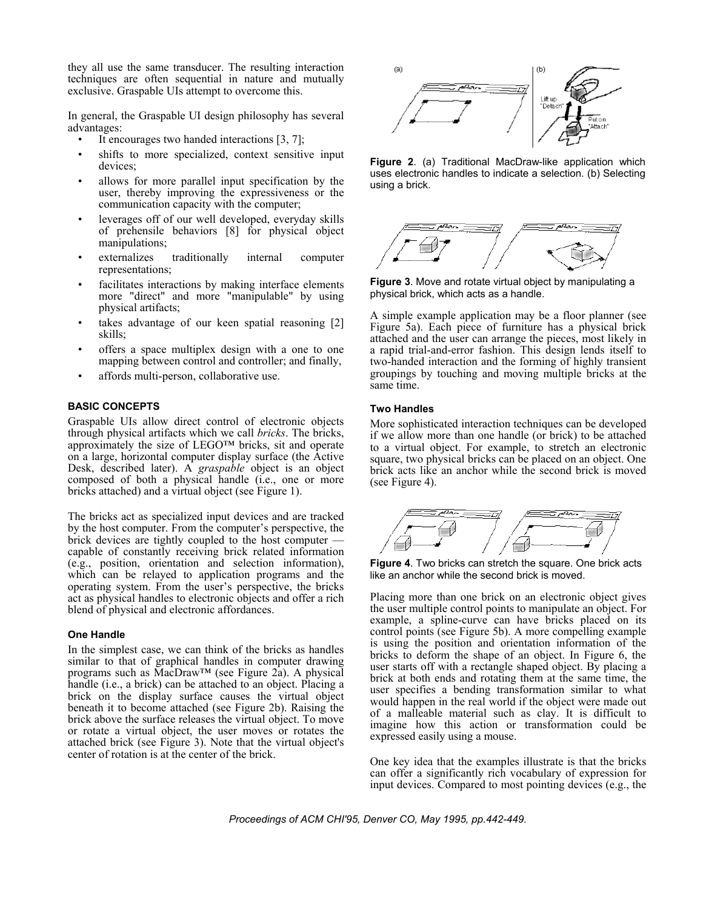they all use the same transducer. The resulting interaction techniques are often sequential in nature and mutually exclusive. Graspable UIs attempt to overcome this.

In general, the Graspable UI design philosophy has several advantages:

- It encourages two handed interactions [3, 7];
- shifts to more specialized, context sensitive input devices;
- allows for more parallel input specification by the user, thereby improving the expressiveness or the communication capacity with the computer;
- leverages off of our well developed, everyday skills of prehensile behaviors [8] for physical object manipulations;
- externalizes traditionally internal computer representations;
- facilitates interactions by making interface elements more "direct" and more "manipulable" by using physical artifacts;
- takes advantage of our keen spatial reasoning [2] skills;
- offers a space multiplex design with a one to one mapping between control and controller; and finally,
- affords multi-person, collaborative use.

## **BASIC CONCEPTS**

Graspable UIs allow direct control of electronic objects through physical artifacts which we call *bricks*. The bricks, approximately the size of LEGO™ bricks, sit and operate on a large, horizontal computer display surface (the Active Desk, described later). A *graspable* object is an object composed of both a physical handle (i.e., one or more bricks attached) and a virtual object (see Figure 1).

The bricks act as specialized input devices and are tracked by the host computer. From the computer's perspective, the brick devices are tightly coupled to the host computer capable of constantly receiving brick related information (e.g., position, orientation and selection information), which can be relayed to application programs and the operating system. From the user's perspective, the bricks act as physical handles to electronic objects and offer a rich blend of physical and electronic affordances.

#### **One Handle**

In the simplest case, we can think of the bricks as handles similar to that of graphical handles in computer drawing programs such as MacDraw™ (see Figure 2a). A physical handle (i.e., a brick) can be attached to an object. Placing a brick on the display surface causes the virtual object beneath it to become attached (see Figure 2b). Raising the brick above the surface releases the virtual object. To move or rotate a virtual object, the user moves or rotates the attached brick (see Figure 3). Note that the virtual object's center of rotation is at the center of the brick.



**Figure 2**. (a) Traditional MacDraw-like application which uses electronic handles to indicate a selection. (b) Selecting using a brick.



**Figure 3**. Move and rotate virtual object by manipulating a physical brick, which acts as a handle.

A simple example application may be a floor planner (see Figure 5a). Each piece of furniture has a physical brick attached and the user can arrange the pieces, most likely in a rapid trial-and-error fashion. This design lends itself to two-handed interaction and the forming of highly transient groupings by touching and moving multiple bricks at the same time.

#### **Two Handles**

More sophisticated interaction techniques can be developed if we allow more than one handle (or brick) to be attached to a virtual object. For example, to stretch an electronic square, two physical bricks can be placed on an object. One brick acts like an anchor while the second brick is moved (see Figure 4).



**Figure 4**. Two bricks can stretch the square. One brick acts like an anchor while the second brick is moved.

Placing more than one brick on an electronic object gives the user multiple control points to manipulate an object. For example, a spline-curve can have bricks placed on its control points (see Figure 5b). A more compelling example is using the position and orientation information of the bricks to deform the shape of an object. In Figure 6, the user starts off with a rectangle shaped object. By placing a brick at both ends and rotating them at the same time, the user specifies a bending transformation similar to what would happen in the real world if the object were made out of a malleable material such as clay. It is difficult to imagine how this action or transformation could be expressed easily using a mouse.

One key idea that the examples illustrate is that the bricks can offer a significantly rich vocabulary of expression for input devices. Compared to most pointing devices (e.g., the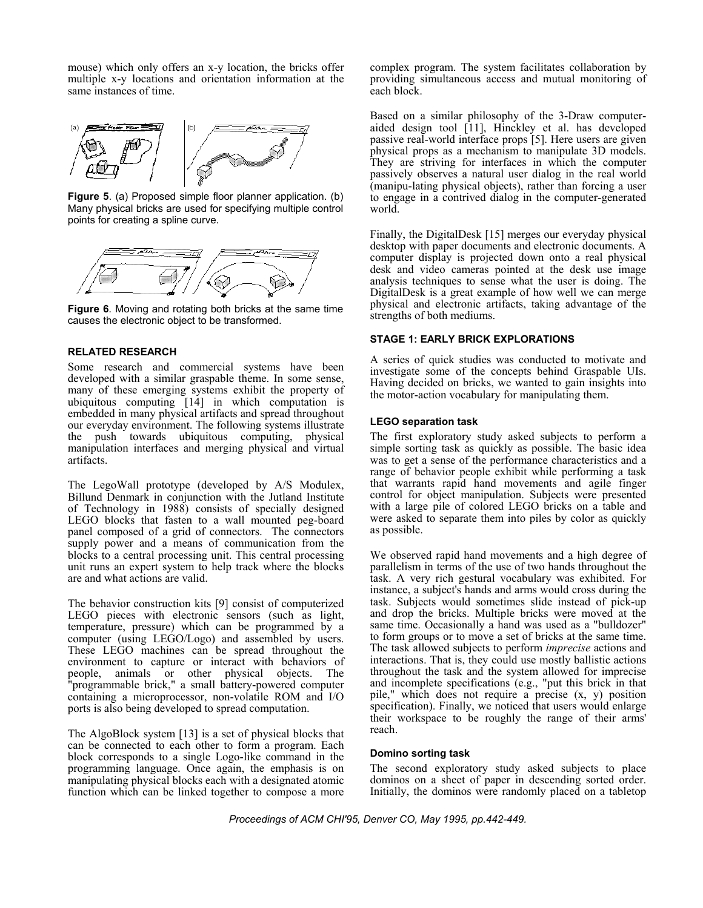mouse) which only offers an x-y location, the bricks offer multiple x-y locations and orientation information at the same instances of time.



**Figure 5**. (a) Proposed simple floor planner application. (b) Many physical bricks are used for specifying multiple control points for creating a spline curve.



**Figure 6**. Moving and rotating both bricks at the same time causes the electronic object to be transformed.

#### **RELATED RESEARCH**

Some research and commercial systems have been developed with a similar graspable theme. In some sense, many of these emerging systems exhibit the property of ubiquitous computing [14] in which computation is embedded in many physical artifacts and spread throughout our everyday environment. The following systems illustrate the push towards ubiquitous computing, physical manipulation interfaces and merging physical and virtual artifacts.

The LegoWall prototype (developed by A/S Modulex, Billund Denmark in conjunction with the Jutland Institute of Technology in 1988) consists of specially designed LEGO blocks that fasten to a wall mounted peg-board panel composed of a grid of connectors. The connectors supply power and a means of communication from the blocks to a central processing unit. This central processing unit runs an expert system to help track where the blocks are and what actions are valid.

The behavior construction kits [9] consist of computerized LEGO pieces with electronic sensors (such as light, temperature, pressure) which can be programmed by a computer (using LEGO/Logo) and assembled by users. These LEGO machines can be spread throughout the environment to capture or interact with behaviors of people, animals or other physical objects. The "programmable brick," a small battery-powered computer containing a microprocessor, non-volatile ROM and I/O ports is also being developed to spread computation.

The AlgoBlock system [13] is a set of physical blocks that can be connected to each other to form a program. Each block corresponds to a single Logo-like command in the programming language. Once again, the emphasis is on manipulating physical blocks each with a designated atomic function which can be linked together to compose a more

complex program. The system facilitates collaboration by providing simultaneous access and mutual monitoring of each block.

Based on a similar philosophy of the 3-Draw computeraided design tool [11], Hinckley et al. has developed passive real-world interface props [5]. Here users are given physical props as a mechanism to manipulate 3D models. They are striving for interfaces in which the computer passively observes a natural user dialog in the real world (manipu-lating physical objects), rather than forcing a user to engage in a contrived dialog in the computer-generated world.

Finally, the DigitalDesk [15] merges our everyday physical desktop with paper documents and electronic documents. A computer display is projected down onto a real physical desk and video cameras pointed at the desk use image analysis techniques to sense what the user is doing. The DigitalDesk is a great example of how well we can merge physical and electronic artifacts, taking advantage of the strengths of both mediums.

## **STAGE 1: EARLY BRICK EXPLORATIONS**

A series of quick studies was conducted to motivate and investigate some of the concepts behind Graspable UIs. Having decided on bricks, we wanted to gain insights into the motor-action vocabulary for manipulating them.

## **LEGO separation task**

The first exploratory study asked subjects to perform a simple sorting task as quickly as possible. The basic idea was to get a sense of the performance characteristics and a range of behavior people exhibit while performing a task that warrants rapid hand movements and agile finger control for object manipulation. Subjects were presented with a large pile of colored LEGO bricks on a table and were asked to separate them into piles by color as quickly as possible.

We observed rapid hand movements and a high degree of parallelism in terms of the use of two hands throughout the task. A very rich gestural vocabulary was exhibited. For instance, a subject's hands and arms would cross during the task. Subjects would sometimes slide instead of pick-up and drop the bricks. Multiple bricks were moved at the same time. Occasionally a hand was used as a "bulldozer" to form groups or to move a set of bricks at the same time. The task allowed subjects to perform *imprecise* actions and interactions. That is, they could use mostly ballistic actions throughout the task and the system allowed for imprecise and incomplete specifications (e.g., "put this brick in that pile," which does not require a precise (x, y) position specification). Finally, we noticed that users would enlarge their workspace to be roughly the range of their arms' reach.

#### **Domino sorting task**

The second exploratory study asked subjects to place dominos on a sheet of paper in descending sorted order. Initially, the dominos were randomly placed on a tabletop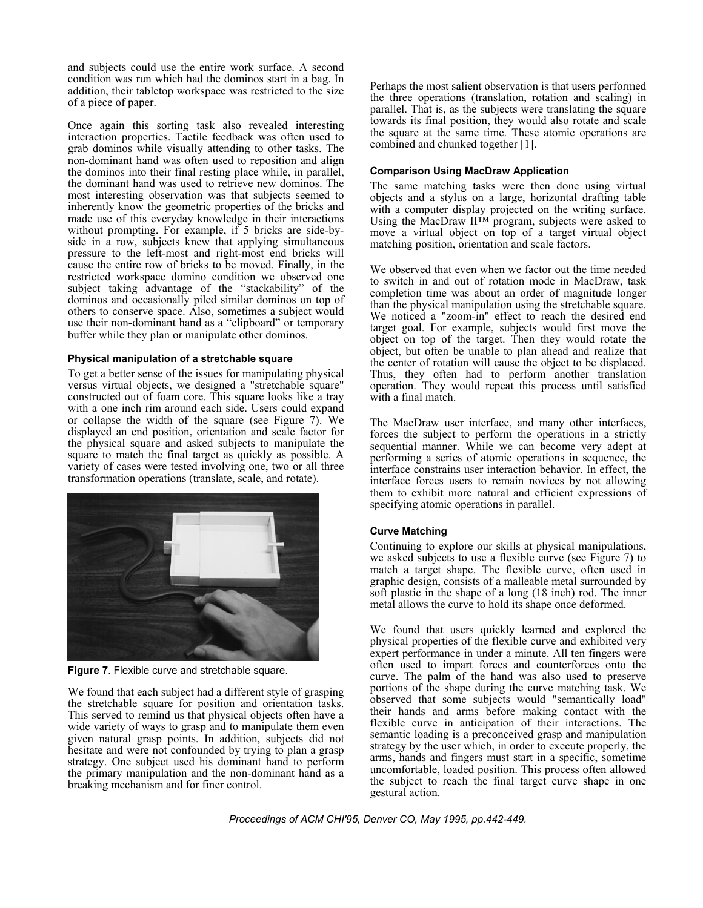and subjects could use the entire work surface. A second condition was run which had the dominos start in a bag. In addition, their tabletop workspace was restricted to the size of a piece of paper.

Once again this sorting task also revealed interesting interaction properties. Tactile feedback was often used to grab dominos while visually attending to other tasks. The non-dominant hand was often used to reposition and align the dominos into their final resting place while, in parallel, the dominant hand was used to retrieve new dominos. The most interesting observation was that subjects seemed to inherently know the geometric properties of the bricks and made use of this everyday knowledge in their interactions without prompting. For example, if 5 bricks are side-byside in a row, subjects knew that applying simultaneous pressure to the left-most and right-most end bricks will cause the entire row of bricks to be moved. Finally, in the restricted workspace domino condition we observed one subject taking advantage of the "stackability" of the dominos and occasionally piled similar dominos on top of others to conserve space. Also, sometimes a subject would use their non-dominant hand as a "clipboard" or temporary buffer while they plan or manipulate other dominos.

## **Physical manipulation of a stretchable square**

To get a better sense of the issues for manipulating physical versus virtual objects, we designed a "stretchable square" constructed out of foam core. This square looks like a tray with a one inch rim around each side. Users could expand or collapse the width of the square (see Figure 7). We displayed an end position, orientation and scale factor for the physical square and asked subjects to manipulate the square to match the final target as quickly as possible. A variety of cases were tested involving one, two or all three transformation operations (translate, scale, and rotate).



**Figure 7**. Flexible curve and stretchable square.

We found that each subject had a different style of grasping the stretchable square for position and orientation tasks. This served to remind us that physical objects often have a wide variety of ways to grasp and to manipulate them even given natural grasp points. In addition, subjects did not hesitate and were not confounded by trying to plan a grasp strategy. One subject used his dominant hand to perform the primary manipulation and the non-dominant hand as a breaking mechanism and for finer control.

Perhaps the most salient observation is that users performed the three operations (translation, rotation and scaling) in parallel. That is, as the subjects were translating the square towards its final position, they would also rotate and scale the square at the same time. These atomic operations are combined and chunked together [1].

## **Comparison Using MacDraw Application**

The same matching tasks were then done using virtual objects and a stylus on a large, horizontal drafting table with a computer display projected on the writing surface. Using the MacDraw  $II^{\mathsf{TM}}$  program, subjects were asked to move a virtual object on top of a target virtual object matching position, orientation and scale factors.

We observed that even when we factor out the time needed to switch in and out of rotation mode in MacDraw, task completion time was about an order of magnitude longer than the physical manipulation using the stretchable square. We noticed a "zoom-in" effect to reach the desired end target goal. For example, subjects would first move the object on top of the target. Then they would rotate the object, but often be unable to plan ahead and realize that the center of rotation will cause the object to be displaced. Thus, they often had to perform another translation operation. They would repeat this process until satisfied with a final match.

The MacDraw user interface, and many other interfaces, forces the subject to perform the operations in a strictly sequential manner. While we can become very adept at performing a series of atomic operations in sequence, the interface constrains user interaction behavior. In effect, the interface forces users to remain novices by not allowing them to exhibit more natural and efficient expressions of specifying atomic operations in parallel.

## **Curve Matching**

Continuing to explore our skills at physical manipulations, we asked subjects to use a flexible curve (see Figure 7) to match a target shape. The flexible curve, often used in graphic design, consists of a malleable metal surrounded by soft plastic in the shape of a long (18 inch) rod. The inner metal allows the curve to hold its shape once deformed.

We found that users quickly learned and explored the physical properties of the flexible curve and exhibited very expert performance in under a minute. All ten fingers were often used to impart forces and counterforces onto the curve. The palm of the hand was also used to preserve portions of the shape during the curve matching task. We observed that some subjects would "semantically load" their hands and arms before making contact with the flexible curve in anticipation of their interactions. The semantic loading is a preconceived grasp and manipulation strategy by the user which, in order to execute properly, the arms, hands and fingers must start in a specific, sometime uncomfortable, loaded position. This process often allowed the subject to reach the final target curve shape in one gestural action.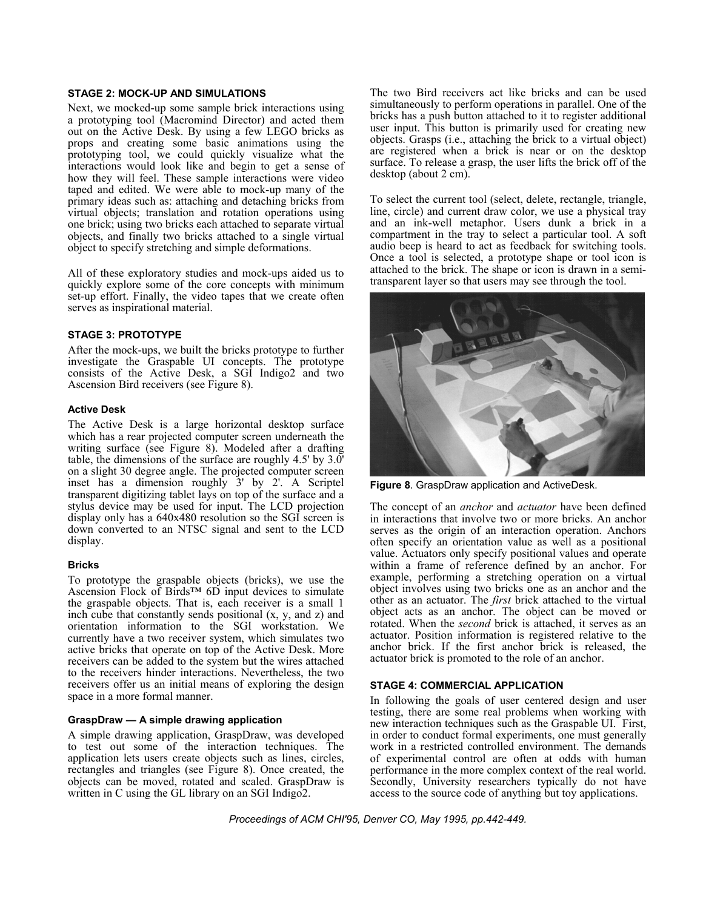#### **STAGE 2: MOCK-UP AND SIMULATIONS**

Next, we mocked-up some sample brick interactions using a prototyping tool (Macromind Director) and acted them out on the Active Desk. By using a few LEGO bricks as props and creating some basic animations using the prototyping tool, we could quickly visualize what the interactions would look like and begin to get a sense of how they will feel. These sample interactions were video taped and edited. We were able to mock-up many of the primary ideas such as: attaching and detaching bricks from virtual objects; translation and rotation operations using one brick; using two bricks each attached to separate virtual objects, and finally two bricks attached to a single virtual object to specify stretching and simple deformations.

All of these exploratory studies and mock-ups aided us to quickly explore some of the core concepts with minimum set-up effort. Finally, the video tapes that we create often serves as inspirational material.

#### **STAGE 3: PROTOTYPE**

After the mock-ups, we built the bricks prototype to further investigate the Graspable UI concepts. The prototype consists of the Active Desk, a SGI Indigo2 and two Ascension Bird receivers (see Figure 8).

## **Active Desk**

The Active Desk is a large horizontal desktop surface which has a rear projected computer screen underneath the writing surface (see Figure 8). Modeled after a drafting table, the dimensions of the surface are roughly 4.5' by 3.0' on a slight 30 degree angle. The projected computer screen inset has a dimension roughly 3' by 2'. A Scriptel transparent digitizing tablet lays on top of the surface and a stylus device may be used for input. The LCD projection display only has a 640x480 resolution so the SGI screen is down converted to an NTSC signal and sent to the LCD display.

#### **Bricks**

To prototype the graspable objects (bricks), we use the Ascension Flock of Birds™ 6D input devices to simulate the graspable objects. That is, each receiver is a small 1 inch cube that constantly sends positional (x, y, and z) and orientation information to the SGI workstation. We currently have a two receiver system, which simulates two active bricks that operate on top of the Active Desk. More receivers can be added to the system but the wires attached to the receivers hinder interactions. Nevertheless, the two receivers offer us an initial means of exploring the design space in a more formal manner.

#### **GraspDraw — A simple drawing application**

A simple drawing application, GraspDraw, was developed to test out some of the interaction techniques. The application lets users create objects such as lines, circles, rectangles and triangles (see Figure 8). Once created, the objects can be moved, rotated and scaled. GraspDraw is written in C using the GL library on an SGI Indigo2.

The two Bird receivers act like bricks and can be used simultaneously to perform operations in parallel. One of the bricks has a push button attached to it to register additional user input. This button is primarily used for creating new objects. Grasps (i.e., attaching the brick to a virtual object) are registered when a brick is near or on the desktop surface. To release a grasp, the user lifts the brick off of the desktop (about 2 cm).

To select the current tool (select, delete, rectangle, triangle, line, circle) and current draw color, we use a physical tray and an ink-well metaphor. Users dunk a brick in a compartment in the tray to select a particular tool. A soft audio beep is heard to act as feedback for switching tools. Once a tool is selected, a prototype shape or tool icon is attached to the brick. The shape or icon is drawn in a semitransparent layer so that users may see through the tool.



**Figure 8**. GraspDraw application and ActiveDesk.

The concept of an *anchor* and *actuator* have been defined in interactions that involve two or more bricks. An anchor serves as the origin of an interaction operation. Anchors often specify an orientation value as well as a positional value. Actuators only specify positional values and operate within a frame of reference defined by an anchor. For example, performing a stretching operation on a virtual object involves using two bricks one as an anchor and the other as an actuator. The *first* brick attached to the virtual object acts as an anchor. The object can be moved or rotated. When the *second* brick is attached, it serves as an actuator. Position information is registered relative to the anchor brick. If the first anchor brick is released, the actuator brick is promoted to the role of an anchor.

## **STAGE 4: COMMERCIAL APPLICATION**

In following the goals of user centered design and user testing, there are some real problems when working with new interaction techniques such as the Graspable UI. First, in order to conduct formal experiments, one must generally work in a restricted controlled environment. The demands of experimental control are often at odds with human performance in the more complex context of the real world. Secondly, University researchers typically do not have access to the source code of anything but toy applications.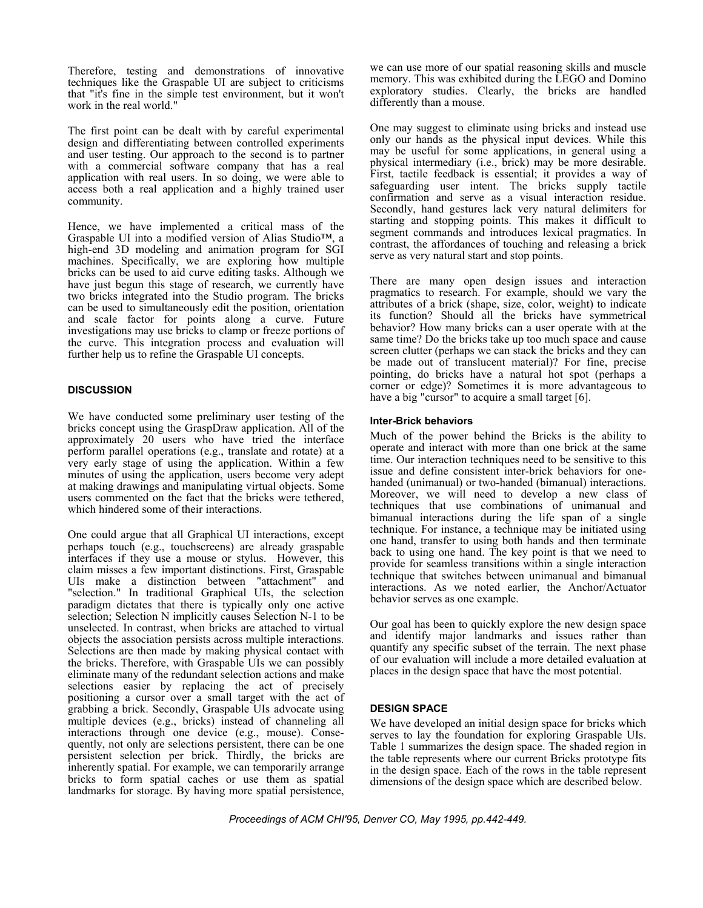Therefore, testing and demonstrations of innovative techniques like the Graspable UI are subject to criticisms that "it's fine in the simple test environment, but it won't work in the real world."

The first point can be dealt with by careful experimental design and differentiating between controlled experiments and user testing. Our approach to the second is to partner with a commercial software company that has a real application with real users. In so doing, we were able to access both a real application and a highly trained user community.

Hence, we have implemented a critical mass of the Graspable UI into a modified version of Alias Studio™, a high-end 3D modeling and animation program for SGI machines. Specifically, we are exploring how multiple bricks can be used to aid curve editing tasks. Although we have just begun this stage of research, we currently have two bricks integrated into the Studio program. The bricks can be used to simultaneously edit the position, orientation and scale factor for points along a curve. Future investigations may use bricks to clamp or freeze portions of the curve. This integration process and evaluation will further help us to refine the Graspable UI concepts.

## **DISCUSSION**

We have conducted some preliminary user testing of the bricks concept using the GraspDraw application. All of the approximately 20 users who have tried the interface perform parallel operations (e.g., translate and rotate) at a very early stage of using the application. Within a few minutes of using the application, users become very adept at making drawings and manipulating virtual objects. Some users commented on the fact that the bricks were tethered, which hindered some of their interactions.

One could argue that all Graphical UI interactions, except perhaps touch (e.g., touchscreens) are already graspable interfaces if they use a mouse or stylus. However, this claim misses a few important distinctions. First, Graspable UIs make a distinction between "attachment" and "selection." In traditional Graphical UIs, the selection paradigm dictates that there is typically only one active selection; Selection N implicitly causes Selection N-1 to be unselected. In contrast, when bricks are attached to virtual objects the association persists across multiple interactions. Selections are then made by making physical contact with the bricks. Therefore, with Graspable UIs we can possibly eliminate many of the redundant selection actions and make selections easier by replacing the act of precisely positioning a cursor over a small target with the act of grabbing a brick. Secondly, Graspable UIs advocate using multiple devices (e.g., bricks) instead of channeling all interactions through one device (e.g., mouse). Consequently, not only are selections persistent, there can be one persistent selection per brick. Thirdly, the bricks are inherently spatial. For example, we can temporarily arrange bricks to form spatial caches or use them as spatial landmarks for storage. By having more spatial persistence,

we can use more of our spatial reasoning skills and muscle memory. This was exhibited during the LEGO and Domino exploratory studies. Clearly, the bricks are handled differently than a mouse.

One may suggest to eliminate using bricks and instead use only our hands as the physical input devices. While this may be useful for some applications, in general using a physical intermediary (i.e., brick) may be more desirable. First, tactile feedback is essential; it provides a way of safeguarding user intent. The bricks supply tactile confirmation and serve as a visual interaction residue. Secondly, hand gestures lack very natural delimiters for starting and stopping points. This makes it difficult to segment commands and introduces lexical pragmatics. In contrast, the affordances of touching and releasing a brick serve as very natural start and stop points.

There are many open design issues and interaction pragmatics to research. For example, should we vary the attributes of a brick (shape, size, color, weight) to indicate its function? Should all the bricks have symmetrical behavior? How many bricks can a user operate with at the same time? Do the bricks take up too much space and cause screen clutter (perhaps we can stack the bricks and they can be made out of translucent material)? For fine, precise pointing, do bricks have a natural hot spot (perhaps a corner or edge)? Sometimes it is more advantageous to have a big "cursor" to acquire a small target [6].

## **Inter-Brick behaviors**

Much of the power behind the Bricks is the ability to operate and interact with more than one brick at the same time. Our interaction techniques need to be sensitive to this issue and define consistent inter-brick behaviors for onehanded (unimanual) or two-handed (bimanual) interactions. Moreover, we will need to develop a new class of techniques that use combinations of unimanual and bimanual interactions during the life span of a single technique. For instance, a technique may be initiated using one hand, transfer to using both hands and then terminate back to using one hand. The key point is that we need to provide for seamless transitions within a single interaction technique that switches between unimanual and bimanual interactions. As we noted earlier, the Anchor/Actuator behavior serves as one example.

Our goal has been to quickly explore the new design space and identify major landmarks and issues rather than quantify any specific subset of the terrain. The next phase of our evaluation will include a more detailed evaluation at places in the design space that have the most potential.

## **DESIGN SPACE**

We have developed an initial design space for bricks which serves to lay the foundation for exploring Graspable UIs. Table 1 summarizes the design space. The shaded region in the table represents where our current Bricks prototype fits in the design space. Each of the rows in the table represent dimensions of the design space which are described below.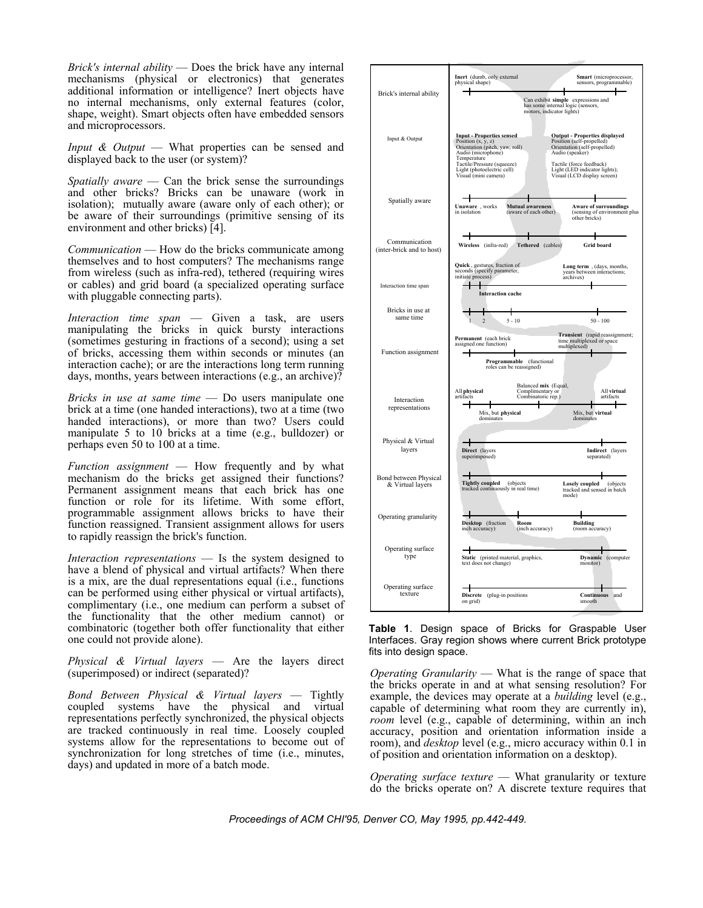*Brick's internal ability* — Does the brick have any internal mechanisms (physical or electronics) that generates additional information or intelligence? Inert objects have no internal mechanisms, only external features (color, shape, weight). Smart objects often have embedded sensors and microprocessors.

*Input & Output* — What properties can be sensed and displayed back to the user (or system)?

*Spatially aware* — Can the brick sense the surroundings and other bricks? Bricks can be unaware (work in isolation); mutually aware (aware only of each other); or be aware of their surroundings (primitive sensing of its environment and other bricks) [4].

*Communication* — How do the bricks communicate among themselves and to host computers? The mechanisms range from wireless (such as infra-red), tethered (requiring wires or cables) and grid board (a specialized operating surface with pluggable connecting parts).

*Interaction time span* — Given a task, are users manipulating the bricks in quick bursty interactions (sometimes gesturing in fractions of a second); using a set of bricks, accessing them within seconds or minutes (an interaction cache); or are the interactions long term running days, months, years between interactions (e.g., an archive)?

*Bricks in use at same time* — Do users manipulate one brick at a time (one handed interactions), two at a time (two handed interactions), or more than two? Users could manipulate 5 to 10 bricks at a time (e.g., bulldozer) or perhaps even 50 to 100 at a time.

*Function assignment* — How frequently and by what mechanism do the bricks get assigned their functions? Permanent assignment means that each brick has one function or role for its lifetime. With some effort, programmable assignment allows bricks to have their function reassigned. Transient assignment allows for users to rapidly reassign the brick's function.

*Interaction representations* — Is the system designed to have a blend of physical and virtual artifacts? When there is a mix, are the dual representations equal (i.e., functions can be performed using either physical or virtual artifacts), complimentary (i.e., one medium can perform a subset of the functionality that the other medium cannot) or combinatoric (together both offer functionality that either one could not provide alone).

*Physical & Virtual layers* — Are the layers direct (superimposed) or indirect (separated)?

*Bond Between Physical & Virtual layers* — Tightly coupled systems have the physical and virtual representations perfectly synchronized, the physical objects are tracked continuously in real time. Loosely coupled systems allow for the representations to become out of synchronization for long stretches of time (i.e., minutes, days) and updated in more of a batch mode.





*Operating Granularity* — What is the range of space that the bricks operate in and at what sensing resolution? For example, the devices may operate at a *building* level (e.g., capable of determining what room they are currently in), *room* level (e.g., capable of determining, within an inch accuracy, position and orientation information inside a room), and *desktop* level (e.g., micro accuracy within 0.1 in of position and orientation information on a desktop).

*Operating surface texture* — What granularity or texture do the bricks operate on? A discrete texture requires that